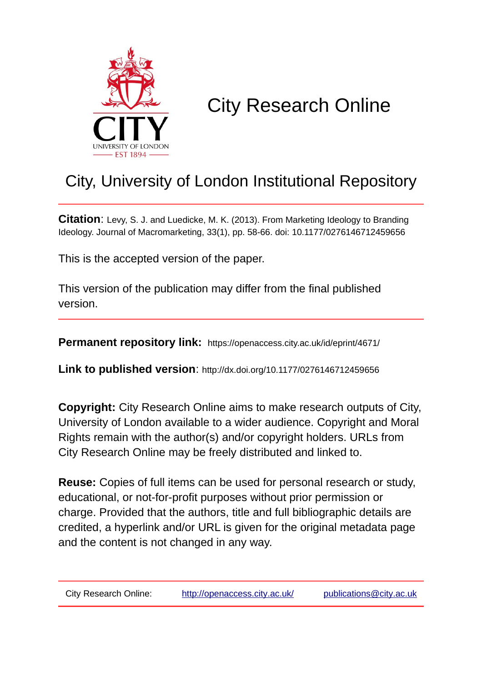

# City Research Online

# City, University of London Institutional Repository

**Citation**: Levy, S. J. and Luedicke, M. K. (2013). From Marketing Ideology to Branding Ideology. Journal of Macromarketing, 33(1), pp. 58-66. doi: 10.1177/0276146712459656

This is the accepted version of the paper.

This version of the publication may differ from the final published version.

**Permanent repository link:** https://openaccess.city.ac.uk/id/eprint/4671/

**Link to published version**: http://dx.doi.org/10.1177/0276146712459656

**Copyright:** City Research Online aims to make research outputs of City, University of London available to a wider audience. Copyright and Moral Rights remain with the author(s) and/or copyright holders. URLs from City Research Online may be freely distributed and linked to.

**Reuse:** Copies of full items can be used for personal research or study, educational, or not-for-profit purposes without prior permission or charge. Provided that the authors, title and full bibliographic details are credited, a hyperlink and/or URL is given for the original metadata page and the content is not changed in any way.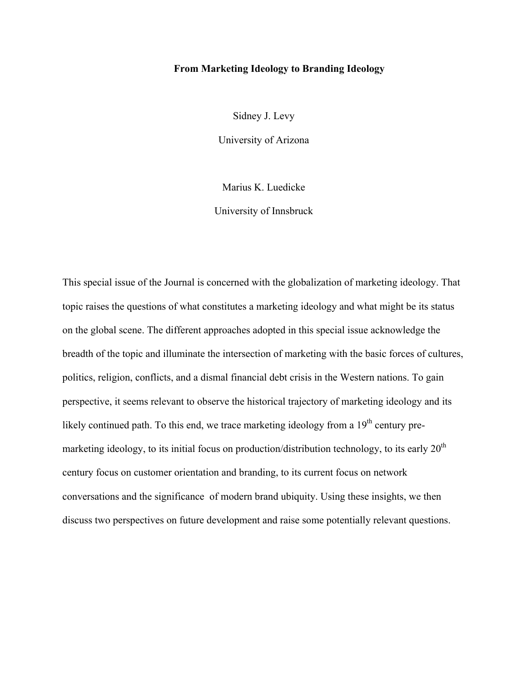# **From Marketing Ideology to Branding Ideology**

Sidney J. Levy

University of Arizona

Marius K. Luedicke

University of Innsbruck

This special issue of the Journal is concerned with the globalization of marketing ideology. That topic raises the questions of what constitutes a marketing ideology and what might be its status on the global scene. The different approaches adopted in this special issue acknowledge the breadth of the topic and illuminate the intersection of marketing with the basic forces of cultures, politics, religion, conflicts, and a dismal financial debt crisis in the Western nations. To gain perspective, it seems relevant to observe the historical trajectory of marketing ideology and its likely continued path. To this end, we trace marketing ideology from a  $19<sup>th</sup>$  century premarketing ideology, to its initial focus on production/distribution technology, to its early  $20<sup>th</sup>$ century focus on customer orientation and branding, to its current focus on network conversations and the significance of modern brand ubiquity. Using these insights, we then discuss two perspectives on future development and raise some potentially relevant questions.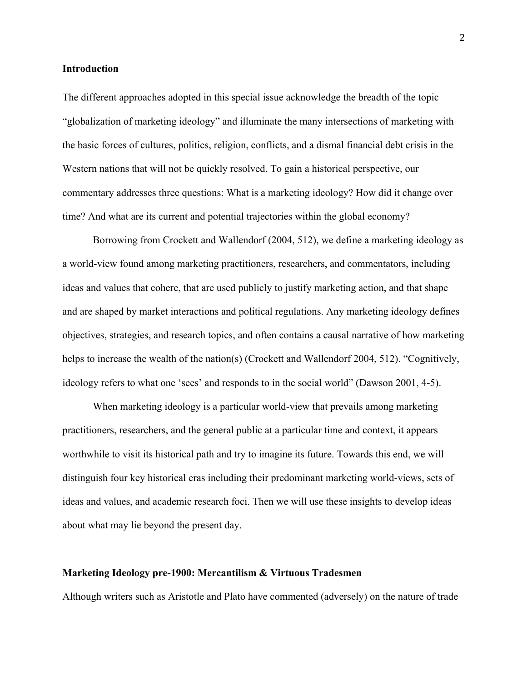#### **Introduction**

The different approaches adopted in this special issue acknowledge the breadth of the topic "globalization of marketing ideology" and illuminate the many intersections of marketing with the basic forces of cultures, politics, religion, conflicts, and a dismal financial debt crisis in the Western nations that will not be quickly resolved. To gain a historical perspective, our commentary addresses three questions: What is a marketing ideology? How did it change over time? And what are its current and potential trajectories within the global economy?

Borrowing from Crockett and Wallendorf (2004, 512), we define a marketing ideology as a world-view found among marketing practitioners, researchers, and commentators, including ideas and values that cohere, that are used publicly to justify marketing action, and that shape and are shaped by market interactions and political regulations. Any marketing ideology defines objectives, strategies, and research topics, and often contains a causal narrative of how marketing helps to increase the wealth of the nation(s) (Crockett and Wallendorf 2004, 512). "Cognitively, ideology refers to what one 'sees' and responds to in the social world" (Dawson 2001, 4-5).

When marketing ideology is a particular world-view that prevails among marketing practitioners, researchers, and the general public at a particular time and context, it appears worthwhile to visit its historical path and try to imagine its future. Towards this end, we will distinguish four key historical eras including their predominant marketing world-views, sets of ideas and values, and academic research foci. Then we will use these insights to develop ideas about what may lie beyond the present day.

#### **Marketing Ideology pre-1900: Mercantilism & Virtuous Tradesmen**

Although writers such as Aristotle and Plato have commented (adversely) on the nature of trade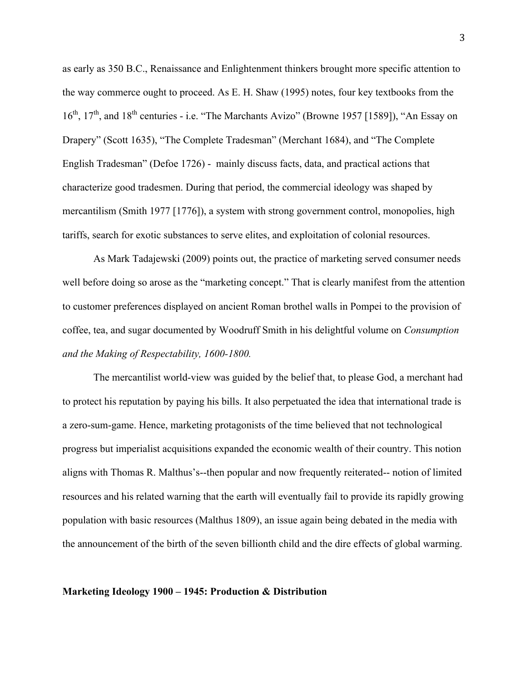as early as 350 B.C., Renaissance and Enlightenment thinkers brought more specific attention to the way commerce ought to proceed. As E. H. Shaw (1995) notes, four key textbooks from the 16<sup>th</sup>, 17<sup>th</sup>, and 18<sup>th</sup> centuries - i.e. "The Marchants Avizo" (Browne 1957 [1589]), "An Essay on Drapery" (Scott 1635), "The Complete Tradesman" (Merchant 1684), and "The Complete English Tradesman" (Defoe 1726) - mainly discuss facts, data, and practical actions that characterize good tradesmen. During that period, the commercial ideology was shaped by mercantilism (Smith 1977 [1776]), a system with strong government control, monopolies, high tariffs, search for exotic substances to serve elites, and exploitation of colonial resources.

As Mark Tadajewski (2009) points out, the practice of marketing served consumer needs well before doing so arose as the "marketing concept." That is clearly manifest from the attention to customer preferences displayed on ancient Roman brothel walls in Pompei to the provision of coffee, tea, and sugar documented by Woodruff Smith in his delightful volume on *Consumption and the Making of Respectability, 1600-1800.*

The mercantilist world-view was guided by the belief that, to please God, a merchant had to protect his reputation by paying his bills. It also perpetuated the idea that international trade is a zero-sum-game. Hence, marketing protagonists of the time believed that not technological progress but imperialist acquisitions expanded the economic wealth of their country. This notion aligns with Thomas R. Malthus's--then popular and now frequently reiterated-- notion of limited resources and his related warning that the earth will eventually fail to provide its rapidly growing population with basic resources (Malthus 1809), an issue again being debated in the media with the announcement of the birth of the seven billionth child and the dire effects of global warming.

#### **Marketing Ideology 1900 – 1945: Production & Distribution**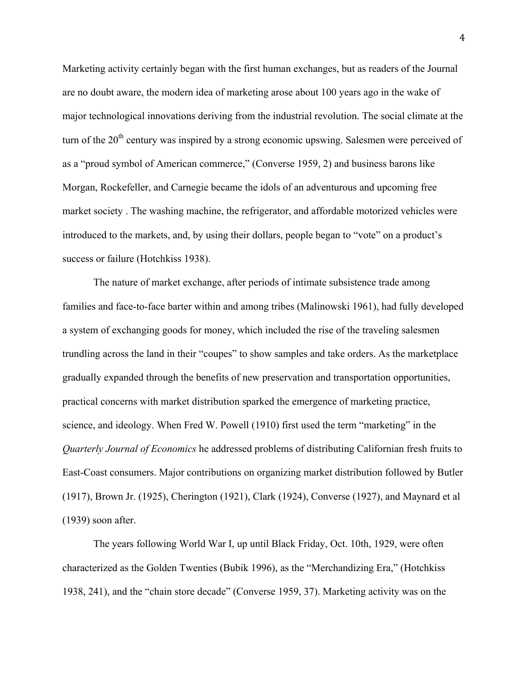Marketing activity certainly began with the first human exchanges, but as readers of the Journal are no doubt aware, the modern idea of marketing arose about 100 years ago in the wake of major technological innovations deriving from the industrial revolution. The social climate at the turn of the 20<sup>th</sup> century was inspired by a strong economic upswing. Salesmen were perceived of as a "proud symbol of American commerce," (Converse 1959, 2) and business barons like Morgan, Rockefeller, and Carnegie became the idols of an adventurous and upcoming free market society . The washing machine, the refrigerator, and affordable motorized vehicles were introduced to the markets, and, by using their dollars, people began to "vote" on a product's success or failure (Hotchkiss 1938).

The nature of market exchange, after periods of intimate subsistence trade among families and face-to-face barter within and among tribes (Malinowski 1961), had fully developed a system of exchanging goods for money, which included the rise of the traveling salesmen trundling across the land in their "coupes" to show samples and take orders. As the marketplace gradually expanded through the benefits of new preservation and transportation opportunities, practical concerns with market distribution sparked the emergence of marketing practice, science, and ideology. When Fred W. Powell (1910) first used the term "marketing" in the *Quarterly Journal of Economics* he addressed problems of distributing Californian fresh fruits to East-Coast consumers. Major contributions on organizing market distribution followed by Butler (1917), Brown Jr. (1925), Cherington (1921), Clark (1924), Converse (1927), and Maynard et al (1939) soon after.

The years following World War I, up until Black Friday, Oct. 10th, 1929, were often characterized as the Golden Twenties (Bubik 1996), as the "Merchandizing Era," (Hotchkiss 1938, 241), and the "chain store decade" (Converse 1959, 37). Marketing activity was on the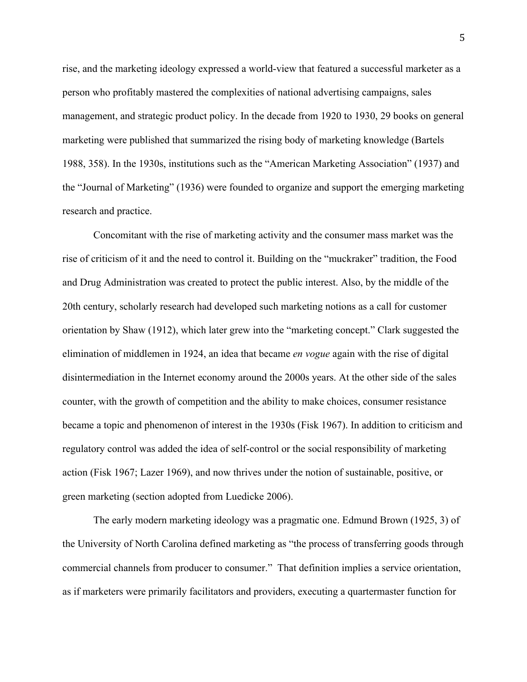rise, and the marketing ideology expressed a world-view that featured a successful marketer as a person who profitably mastered the complexities of national advertising campaigns, sales management, and strategic product policy. In the decade from 1920 to 1930, 29 books on general marketing were published that summarized the rising body of marketing knowledge (Bartels 1988, 358). In the 1930s, institutions such as the "American Marketing Association" (1937) and the "Journal of Marketing" (1936) were founded to organize and support the emerging marketing research and practice.

Concomitant with the rise of marketing activity and the consumer mass market was the rise of criticism of it and the need to control it. Building on the "muckraker" tradition, the Food and Drug Administration was created to protect the public interest. Also, by the middle of the 20th century, scholarly research had developed such marketing notions as a call for customer orientation by Shaw (1912), which later grew into the "marketing concept." Clark suggested the elimination of middlemen in 1924, an idea that became *en vogue* again with the rise of digital disintermediation in the Internet economy around the 2000s years. At the other side of the sales counter, with the growth of competition and the ability to make choices, consumer resistance became a topic and phenomenon of interest in the 1930s (Fisk 1967). In addition to criticism and regulatory control was added the idea of self-control or the social responsibility of marketing action (Fisk 1967; Lazer 1969), and now thrives under the notion of sustainable, positive, or green marketing (section adopted from Luedicke 2006).

The early modern marketing ideology was a pragmatic one. Edmund Brown (1925, 3) of the University of North Carolina defined marketing as "the process of transferring goods through commercial channels from producer to consumer." That definition implies a service orientation, as if marketers were primarily facilitators and providers, executing a quartermaster function for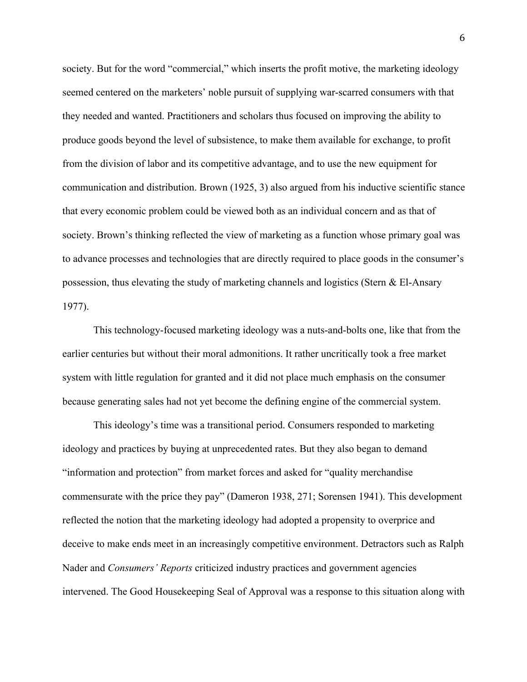society. But for the word "commercial," which inserts the profit motive, the marketing ideology seemed centered on the marketers' noble pursuit of supplying war-scarred consumers with that they needed and wanted. Practitioners and scholars thus focused on improving the ability to produce goods beyond the level of subsistence, to make them available for exchange, to profit from the division of labor and its competitive advantage, and to use the new equipment for communication and distribution. Brown (1925, 3) also argued from his inductive scientific stance that every economic problem could be viewed both as an individual concern and as that of society. Brown's thinking reflected the view of marketing as a function whose primary goal was to advance processes and technologies that are directly required to place goods in the consumer's possession, thus elevating the study of marketing channels and logistics (Stern & El-Ansary 1977).

This technology-focused marketing ideology was a nuts-and-bolts one, like that from the earlier centuries but without their moral admonitions. It rather uncritically took a free market system with little regulation for granted and it did not place much emphasis on the consumer because generating sales had not yet become the defining engine of the commercial system.

This ideology's time was a transitional period. Consumers responded to marketing ideology and practices by buying at unprecedented rates. But they also began to demand "information and protection" from market forces and asked for "quality merchandise commensurate with the price they pay" (Dameron 1938, 271; Sorensen 1941). This development reflected the notion that the marketing ideology had adopted a propensity to overprice and deceive to make ends meet in an increasingly competitive environment. Detractors such as Ralph Nader and *Consumers' Reports* criticized industry practices and government agencies intervened. The Good Housekeeping Seal of Approval was a response to this situation along with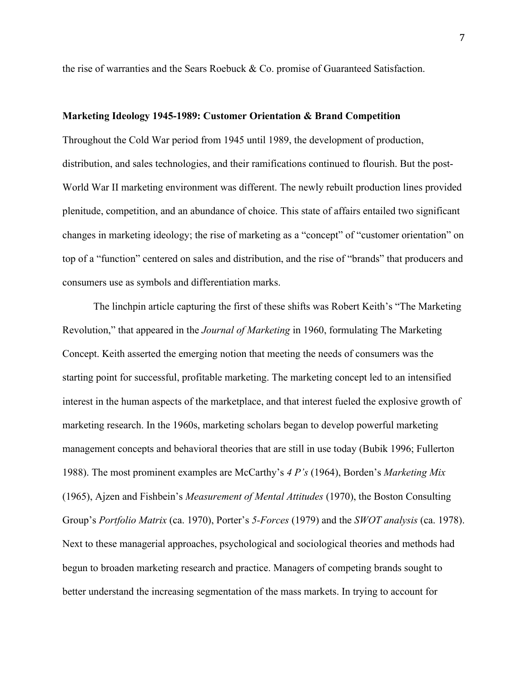the rise of warranties and the Sears Roebuck & Co. promise of Guaranteed Satisfaction.

#### **Marketing Ideology 1945-1989: Customer Orientation & Brand Competition**

Throughout the Cold War period from 1945 until 1989, the development of production, distribution, and sales technologies, and their ramifications continued to flourish. But the post-World War II marketing environment was different. The newly rebuilt production lines provided plenitude, competition, and an abundance of choice. This state of affairs entailed two significant changes in marketing ideology; the rise of marketing as a "concept" of "customer orientation" on top of a "function" centered on sales and distribution, and the rise of "brands" that producers and consumers use as symbols and differentiation marks.

The linchpin article capturing the first of these shifts was Robert Keith's "The Marketing Revolution," that appeared in the *Journal of Marketing* in 1960, formulating The Marketing Concept. Keith asserted the emerging notion that meeting the needs of consumers was the starting point for successful, profitable marketing. The marketing concept led to an intensified interest in the human aspects of the marketplace, and that interest fueled the explosive growth of marketing research. In the 1960s, marketing scholars began to develop powerful marketing management concepts and behavioral theories that are still in use today (Bubik 1996; Fullerton 1988). The most prominent examples are McCarthy's *4 P's* (1964), Borden's *Marketing Mix* (1965), Ajzen and Fishbein's *Measurement of Mental Attitudes* (1970), the Boston Consulting Group's *Portfolio Matrix* (ca. 1970), Porter's *5-Forces* (1979) and the *SWOT analysis* (ca. 1978). Next to these managerial approaches, psychological and sociological theories and methods had begun to broaden marketing research and practice. Managers of competing brands sought to better understand the increasing segmentation of the mass markets. In trying to account for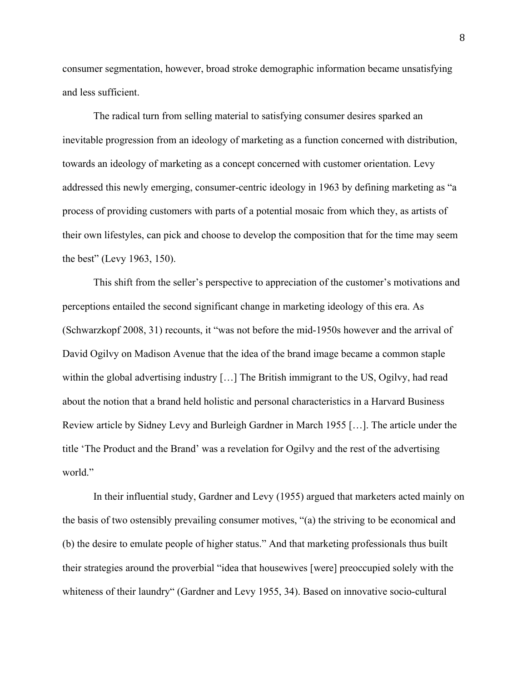consumer segmentation, however, broad stroke demographic information became unsatisfying and less sufficient.

The radical turn from selling material to satisfying consumer desires sparked an inevitable progression from an ideology of marketing as a function concerned with distribution, towards an ideology of marketing as a concept concerned with customer orientation. Levy addressed this newly emerging, consumer-centric ideology in 1963 by defining marketing as "a process of providing customers with parts of a potential mosaic from which they, as artists of their own lifestyles, can pick and choose to develop the composition that for the time may seem the best" (Levy 1963, 150).

This shift from the seller's perspective to appreciation of the customer's motivations and perceptions entailed the second significant change in marketing ideology of this era. As (Schwarzkopf 2008, 31) recounts, it "was not before the mid-1950s however and the arrival of David Ogilvy on Madison Avenue that the idea of the brand image became a common staple within the global advertising industry [...] The British immigrant to the US, Ogilvy, had read about the notion that a brand held holistic and personal characteristics in a Harvard Business Review article by Sidney Levy and Burleigh Gardner in March 1955 […]. The article under the title 'The Product and the Brand' was a revelation for Ogilvy and the rest of the advertising world."

In their influential study, Gardner and Levy (1955) argued that marketers acted mainly on the basis of two ostensibly prevailing consumer motives, "(a) the striving to be economical and (b) the desire to emulate people of higher status." And that marketing professionals thus built their strategies around the proverbial "idea that housewives [were] preoccupied solely with the whiteness of their laundry" (Gardner and Levy 1955, 34). Based on innovative socio-cultural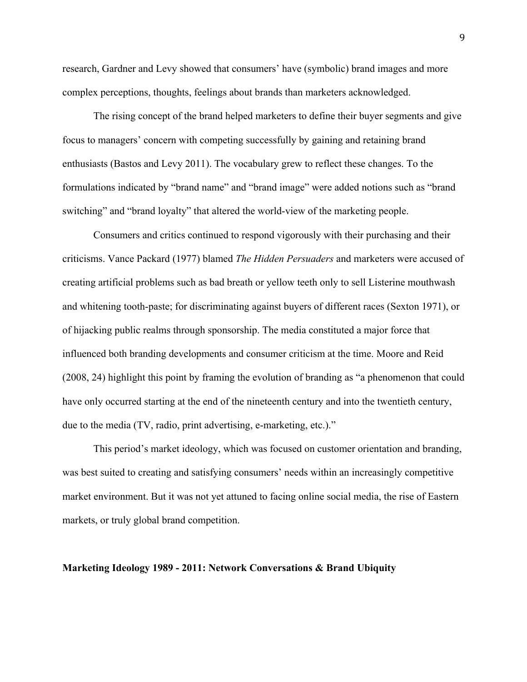research, Gardner and Levy showed that consumers' have (symbolic) brand images and more complex perceptions, thoughts, feelings about brands than marketers acknowledged.

The rising concept of the brand helped marketers to define their buyer segments and give focus to managers' concern with competing successfully by gaining and retaining brand enthusiasts (Bastos and Levy 2011). The vocabulary grew to reflect these changes. To the formulations indicated by "brand name" and "brand image" were added notions such as "brand switching" and "brand loyalty" that altered the world-view of the marketing people.

Consumers and critics continued to respond vigorously with their purchasing and their criticisms. Vance Packard (1977) blamed *The Hidden Persuaders* and marketers were accused of creating artificial problems such as bad breath or yellow teeth only to sell Listerine mouthwash and whitening tooth-paste; for discriminating against buyers of different races (Sexton 1971), or of hijacking public realms through sponsorship. The media constituted a major force that influenced both branding developments and consumer criticism at the time. Moore and Reid (2008, 24) highlight this point by framing the evolution of branding as "a phenomenon that could have only occurred starting at the end of the nineteenth century and into the twentieth century, due to the media (TV, radio, print advertising, e-marketing, etc.)."

This period's market ideology, which was focused on customer orientation and branding, was best suited to creating and satisfying consumers' needs within an increasingly competitive market environment. But it was not yet attuned to facing online social media, the rise of Eastern markets, or truly global brand competition.

### **Marketing Ideology 1989 - 2011: Network Conversations & Brand Ubiquity**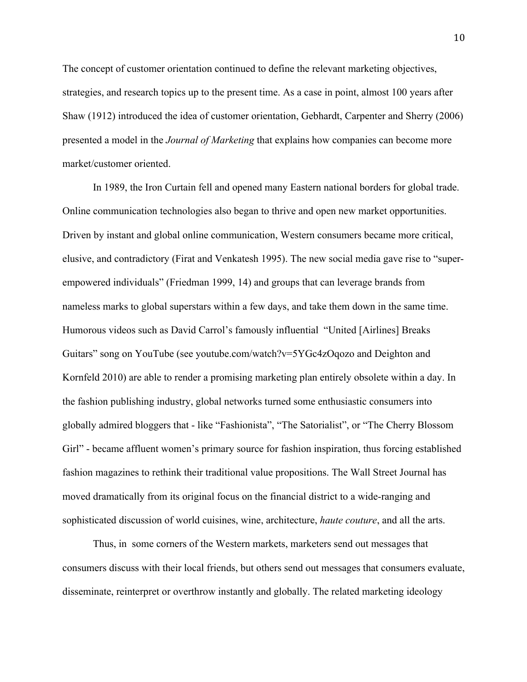The concept of customer orientation continued to define the relevant marketing objectives, strategies, and research topics up to the present time. As a case in point, almost 100 years after Shaw (1912) introduced the idea of customer orientation, Gebhardt, Carpenter and Sherry (2006) presented a model in the *Journal of Marketing* that explains how companies can become more market/customer oriented.

In 1989, the Iron Curtain fell and opened many Eastern national borders for global trade. Online communication technologies also began to thrive and open new market opportunities. Driven by instant and global online communication, Western consumers became more critical, elusive, and contradictory (Firat and Venkatesh 1995). The new social media gave rise to "superempowered individuals" (Friedman 1999, 14) and groups that can leverage brands from nameless marks to global superstars within a few days, and take them down in the same time. Humorous videos such as David Carrol's famously influential "United [Airlines] Breaks Guitars" song on YouTube (see youtube.com/watch?v=5YGc4zOqozo and Deighton and Kornfeld 2010) are able to render a promising marketing plan entirely obsolete within a day. In the fashion publishing industry, global networks turned some enthusiastic consumers into globally admired bloggers that - like "Fashionista", "The Satorialist", or "The Cherry Blossom Girl" - became affluent women's primary source for fashion inspiration, thus forcing established fashion magazines to rethink their traditional value propositions. The Wall Street Journal has moved dramatically from its original focus on the financial district to a wide-ranging and sophisticated discussion of world cuisines, wine, architecture, *haute couture*, and all the arts.

Thus, in some corners of the Western markets, marketers send out messages that consumers discuss with their local friends, but others send out messages that consumers evaluate, disseminate, reinterpret or overthrow instantly and globally. The related marketing ideology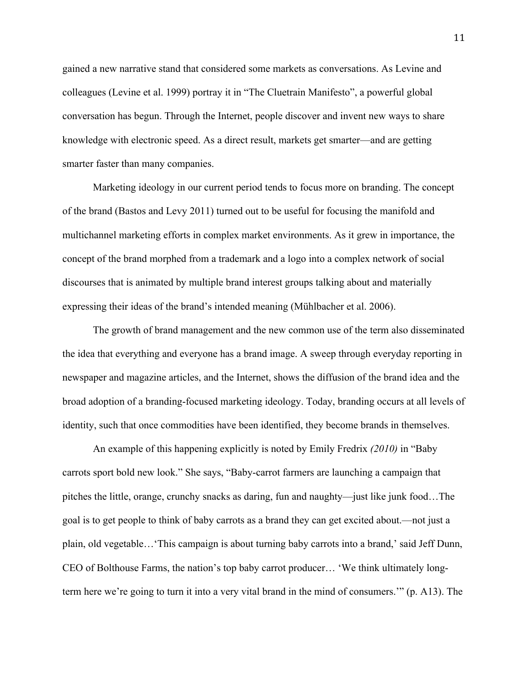gained a new narrative stand that considered some markets as conversations. As Levine and colleagues (Levine et al. 1999) portray it in "The Cluetrain Manifesto", a powerful global conversation has begun. Through the Internet, people discover and invent new ways to share knowledge with electronic speed. As a direct result, markets get smarter—and are getting smarter faster than many companies.

Marketing ideology in our current period tends to focus more on branding. The concept of the brand (Bastos and Levy 2011) turned out to be useful for focusing the manifold and multichannel marketing efforts in complex market environments. As it grew in importance, the concept of the brand morphed from a trademark and a logo into a complex network of social discourses that is animated by multiple brand interest groups talking about and materially expressing their ideas of the brand's intended meaning (Mühlbacher et al. 2006).

The growth of brand management and the new common use of the term also disseminated the idea that everything and everyone has a brand image. A sweep through everyday reporting in newspaper and magazine articles, and the Internet, shows the diffusion of the brand idea and the broad adoption of a branding-focused marketing ideology. Today, branding occurs at all levels of identity, such that once commodities have been identified, they become brands in themselves.

An example of this happening explicitly is noted by Emily Fredrix *(2010)* in "Baby carrots sport bold new look." She says, "Baby-carrot farmers are launching a campaign that pitches the little, orange, crunchy snacks as daring, fun and naughty—just like junk food…The goal is to get people to think of baby carrots as a brand they can get excited about.—not just a plain, old vegetable…'This campaign is about turning baby carrots into a brand,' said Jeff Dunn, CEO of Bolthouse Farms, the nation's top baby carrot producer… 'We think ultimately longterm here we're going to turn it into a very vital brand in the mind of consumers.'" (p. A13). The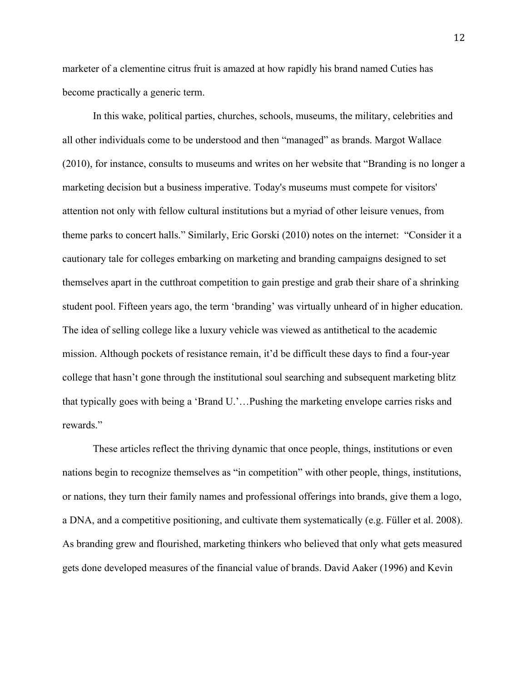marketer of a clementine citrus fruit is amazed at how rapidly his brand named Cuties has become practically a generic term.

In this wake, political parties, churches, schools, museums, the military, celebrities and all other individuals come to be understood and then "managed" as brands. Margot Wallace (2010), for instance, consults to museums and writes on her website that "Branding is no longer a marketing decision but a business imperative. Today's museums must compete for visitors' attention not only with fellow cultural institutions but a myriad of other leisure venues, from theme parks to concert halls." Similarly, Eric Gorski (2010) notes on the internet: "Consider it a cautionary tale for colleges embarking on marketing and branding campaigns designed to set themselves apart in the cutthroat competition to gain prestige and grab their share of a shrinking student pool. Fifteen years ago, the term 'branding' was virtually unheard of in higher education. The idea of selling college like a luxury vehicle was viewed as antithetical to the academic mission. Although pockets of resistance remain, it'd be difficult these days to find a four-year college that hasn't gone through the institutional soul searching and subsequent marketing blitz that typically goes with being a 'Brand U.'…Pushing the marketing envelope carries risks and rewards."

These articles reflect the thriving dynamic that once people, things, institutions or even nations begin to recognize themselves as "in competition" with other people, things, institutions, or nations, they turn their family names and professional offerings into brands, give them a logo, a DNA, and a competitive positioning, and cultivate them systematically (e.g. Füller et al. 2008). As branding grew and flourished, marketing thinkers who believed that only what gets measured gets done developed measures of the financial value of brands. David Aaker (1996) and Kevin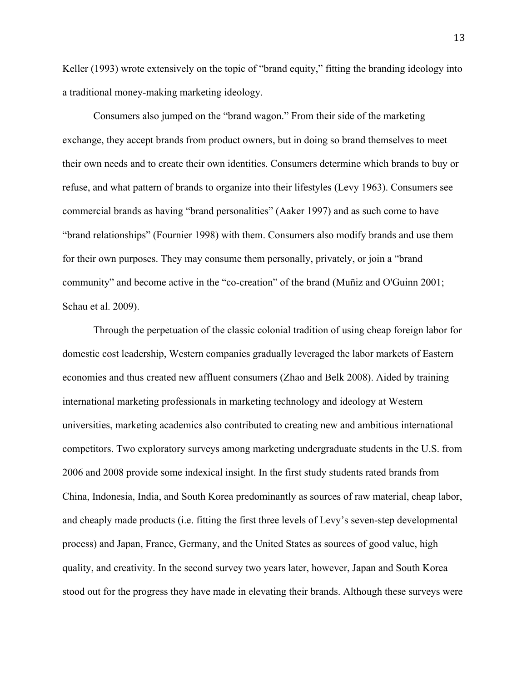Keller (1993) wrote extensively on the topic of "brand equity," fitting the branding ideology into a traditional money-making marketing ideology.

Consumers also jumped on the "brand wagon." From their side of the marketing exchange, they accept brands from product owners, but in doing so brand themselves to meet their own needs and to create their own identities. Consumers determine which brands to buy or refuse, and what pattern of brands to organize into their lifestyles (Levy 1963). Consumers see commercial brands as having "brand personalities" (Aaker 1997) and as such come to have "brand relationships" (Fournier 1998) with them. Consumers also modify brands and use them for their own purposes. They may consume them personally, privately, or join a "brand community" and become active in the "co-creation" of the brand (Muñiz and O'Guinn 2001; Schau et al. 2009).

Through the perpetuation of the classic colonial tradition of using cheap foreign labor for domestic cost leadership, Western companies gradually leveraged the labor markets of Eastern economies and thus created new affluent consumers (Zhao and Belk 2008). Aided by training international marketing professionals in marketing technology and ideology at Western universities, marketing academics also contributed to creating new and ambitious international competitors. Two exploratory surveys among marketing undergraduate students in the U.S. from 2006 and 2008 provide some indexical insight. In the first study students rated brands from China, Indonesia, India, and South Korea predominantly as sources of raw material, cheap labor, and cheaply made products (i.e. fitting the first three levels of Levy's seven-step developmental process) and Japan, France, Germany, and the United States as sources of good value, high quality, and creativity. In the second survey two years later, however, Japan and South Korea stood out for the progress they have made in elevating their brands. Although these surveys were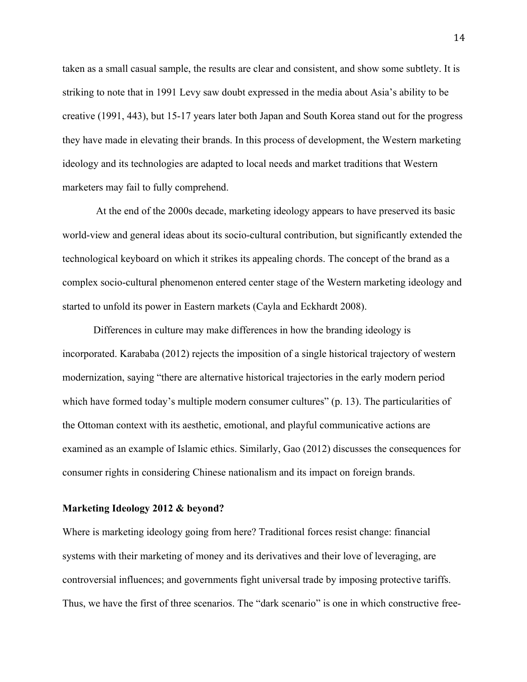taken as a small casual sample, the results are clear and consistent, and show some subtlety. It is striking to note that in 1991 Levy saw doubt expressed in the media about Asia's ability to be creative (1991, 443), but 15-17 years later both Japan and South Korea stand out for the progress they have made in elevating their brands. In this process of development, the Western marketing ideology and its technologies are adapted to local needs and market traditions that Western marketers may fail to fully comprehend.

At the end of the 2000s decade, marketing ideology appears to have preserved its basic world-view and general ideas about its socio-cultural contribution, but significantly extended the technological keyboard on which it strikes its appealing chords. The concept of the brand as a complex socio-cultural phenomenon entered center stage of the Western marketing ideology and started to unfold its power in Eastern markets (Cayla and Eckhardt 2008).

Differences in culture may make differences in how the branding ideology is incorporated. Karababa (2012) rejects the imposition of a single historical trajectory of western modernization, saying "there are alternative historical trajectories in the early modern period which have formed today's multiple modern consumer cultures" (p. 13). The particularities of the Ottoman context with its aesthetic, emotional, and playful communicative actions are examined as an example of Islamic ethics. Similarly, Gao (2012) discusses the consequences for consumer rights in considering Chinese nationalism and its impact on foreign brands.

#### **Marketing Ideology 2012 & beyond?**

Where is marketing ideology going from here? Traditional forces resist change: financial systems with their marketing of money and its derivatives and their love of leveraging, are controversial influences; and governments fight universal trade by imposing protective tariffs. Thus, we have the first of three scenarios. The "dark scenario" is one in which constructive free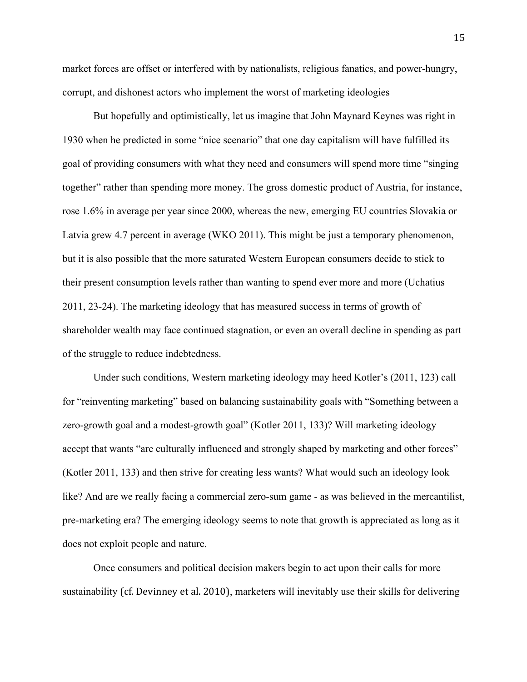market forces are offset or interfered with by nationalists, religious fanatics, and power-hungry, corrupt, and dishonest actors who implement the worst of marketing ideologies

But hopefully and optimistically, let us imagine that John Maynard Keynes was right in 1930 when he predicted in some "nice scenario" that one day capitalism will have fulfilled its goal of providing consumers with what they need and consumers will spend more time "singing together" rather than spending more money. The gross domestic product of Austria, for instance, rose 1.6% in average per year since 2000, whereas the new, emerging EU countries Slovakia or Latvia grew 4.7 percent in average (WKO 2011). This might be just a temporary phenomenon, but it is also possible that the more saturated Western European consumers decide to stick to their present consumption levels rather than wanting to spend ever more and more (Uchatius 2011, 23-24). The marketing ideology that has measured success in terms of growth of shareholder wealth may face continued stagnation, or even an overall decline in spending as part of the struggle to reduce indebtedness.

Under such conditions, Western marketing ideology may heed Kotler's (2011, 123) call for "reinventing marketing" based on balancing sustainability goals with "Something between a zero-growth goal and a modest-growth goal" (Kotler 2011, 133)? Will marketing ideology accept that wants "are culturally influenced and strongly shaped by marketing and other forces" (Kotler 2011, 133) and then strive for creating less wants? What would such an ideology look like? And are we really facing a commercial zero-sum game - as was believed in the mercantilist, pre-marketing era? The emerging ideology seems to note that growth is appreciated as long as it does not exploit people and nature.

Once consumers and political decision makers begin to act upon their calls for more sustainability (cf. Devinney et al. 2010), marketers will inevitably use their skills for delivering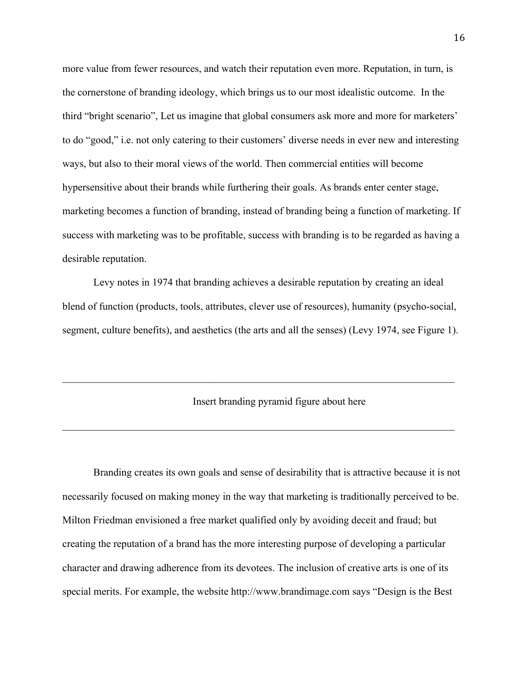more value from fewer resources, and watch their reputation even more. Reputation, in turn, is the cornerstone of branding ideology, which brings us to our most idealistic outcome. In the third "bright scenario", Let us imagine that global consumers ask more and more for marketers' to do "good," i.e. not only catering to their customers' diverse needs in ever new and interesting ways, but also to their moral views of the world. Then commercial entities will become hypersensitive about their brands while furthering their goals. As brands enter center stage, marketing becomes a function of branding, instead of branding being a function of marketing. If success with marketing was to be profitable, success with branding is to be regarded as having a desirable reputation.

Levy notes in 1974 that branding achieves a desirable reputation by creating an ideal blend of function (products, tools, attributes, clever use of resources), humanity (psycho-social, segment, culture benefits), and aesthetics (the arts and all the senses) (Levy 1974, see Figure 1).

 $\mathcal{L}_\mathcal{L} = \{ \mathcal{L}_\mathcal{L} = \{ \mathcal{L}_\mathcal{L} = \{ \mathcal{L}_\mathcal{L} = \{ \mathcal{L}_\mathcal{L} = \{ \mathcal{L}_\mathcal{L} = \{ \mathcal{L}_\mathcal{L} = \{ \mathcal{L}_\mathcal{L} = \{ \mathcal{L}_\mathcal{L} = \{ \mathcal{L}_\mathcal{L} = \{ \mathcal{L}_\mathcal{L} = \{ \mathcal{L}_\mathcal{L} = \{ \mathcal{L}_\mathcal{L} = \{ \mathcal{L}_\mathcal{L} = \{ \mathcal{L}_\mathcal{$ 

 $\mathcal{L}_\mathcal{L} = \{ \mathcal{L}_\mathcal{L} = \{ \mathcal{L}_\mathcal{L} = \{ \mathcal{L}_\mathcal{L} = \{ \mathcal{L}_\mathcal{L} = \{ \mathcal{L}_\mathcal{L} = \{ \mathcal{L}_\mathcal{L} = \{ \mathcal{L}_\mathcal{L} = \{ \mathcal{L}_\mathcal{L} = \{ \mathcal{L}_\mathcal{L} = \{ \mathcal{L}_\mathcal{L} = \{ \mathcal{L}_\mathcal{L} = \{ \mathcal{L}_\mathcal{L} = \{ \mathcal{L}_\mathcal{L} = \{ \mathcal{L}_\mathcal{$ 

# Insert branding pyramid figure about here

Branding creates its own goals and sense of desirability that is attractive because it is not necessarily focused on making money in the way that marketing is traditionally perceived to be. Milton Friedman envisioned a free market qualified only by avoiding deceit and fraud; but creating the reputation of a brand has the more interesting purpose of developing a particular character and drawing adherence from its devotees. The inclusion of creative arts is one of its special merits. For example, the website http://www.brandimage.com says "Design is the Best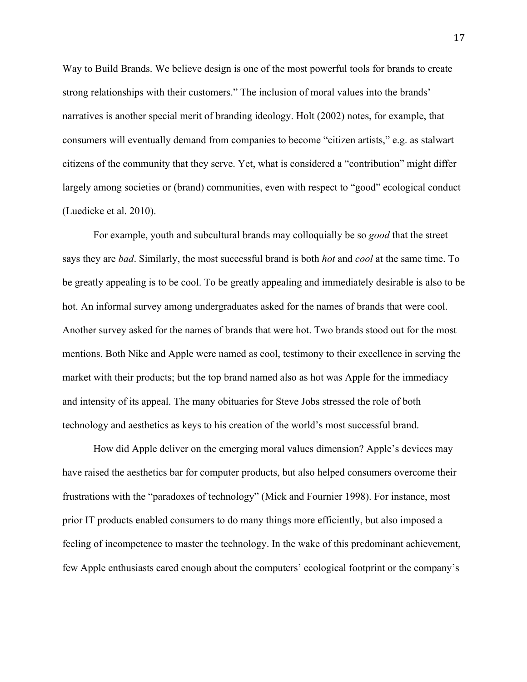Way to Build Brands. We believe design is one of the most powerful tools for brands to create strong relationships with their customers." The inclusion of moral values into the brands' narratives is another special merit of branding ideology. Holt (2002) notes, for example, that consumers will eventually demand from companies to become "citizen artists," e.g. as stalwart citizens of the community that they serve. Yet, what is considered a "contribution" might differ largely among societies or (brand) communities, even with respect to "good" ecological conduct (Luedicke et al. 2010).

For example, youth and subcultural brands may colloquially be so *good* that the street says they are *bad*. Similarly, the most successful brand is both *hot* and *cool* at the same time. To be greatly appealing is to be cool. To be greatly appealing and immediately desirable is also to be hot. An informal survey among undergraduates asked for the names of brands that were cool. Another survey asked for the names of brands that were hot. Two brands stood out for the most mentions. Both Nike and Apple were named as cool, testimony to their excellence in serving the market with their products; but the top brand named also as hot was Apple for the immediacy and intensity of its appeal. The many obituaries for Steve Jobs stressed the role of both technology and aesthetics as keys to his creation of the world's most successful brand.

How did Apple deliver on the emerging moral values dimension? Apple's devices may have raised the aesthetics bar for computer products, but also helped consumers overcome their frustrations with the "paradoxes of technology" (Mick and Fournier 1998). For instance, most prior IT products enabled consumers to do many things more efficiently, but also imposed a feeling of incompetence to master the technology. In the wake of this predominant achievement, few Apple enthusiasts cared enough about the computers' ecological footprint or the company's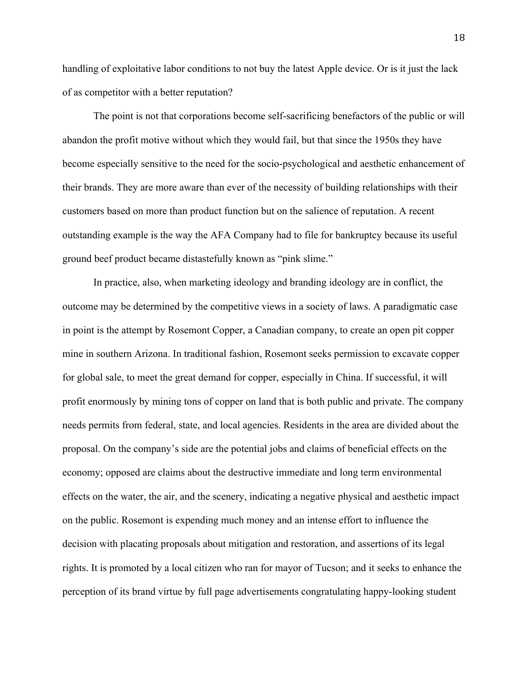handling of exploitative labor conditions to not buy the latest Apple device. Or is it just the lack of as competitor with a better reputation?

The point is not that corporations become self-sacrificing benefactors of the public or will abandon the profit motive without which they would fail, but that since the 1950s they have become especially sensitive to the need for the socio-psychological and aesthetic enhancement of their brands. They are more aware than ever of the necessity of building relationships with their customers based on more than product function but on the salience of reputation. A recent outstanding example is the way the AFA Company had to file for bankruptcy because its useful ground beef product became distastefully known as "pink slime."

In practice, also, when marketing ideology and branding ideology are in conflict, the outcome may be determined by the competitive views in a society of laws. A paradigmatic case in point is the attempt by Rosemont Copper, a Canadian company, to create an open pit copper mine in southern Arizona. In traditional fashion, Rosemont seeks permission to excavate copper for global sale, to meet the great demand for copper, especially in China. If successful, it will profit enormously by mining tons of copper on land that is both public and private. The company needs permits from federal, state, and local agencies. Residents in the area are divided about the proposal. On the company's side are the potential jobs and claims of beneficial effects on the economy; opposed are claims about the destructive immediate and long term environmental effects on the water, the air, and the scenery, indicating a negative physical and aesthetic impact on the public. Rosemont is expending much money and an intense effort to influence the decision with placating proposals about mitigation and restoration, and assertions of its legal rights. It is promoted by a local citizen who ran for mayor of Tucson; and it seeks to enhance the perception of its brand virtue by full page advertisements congratulating happy-looking student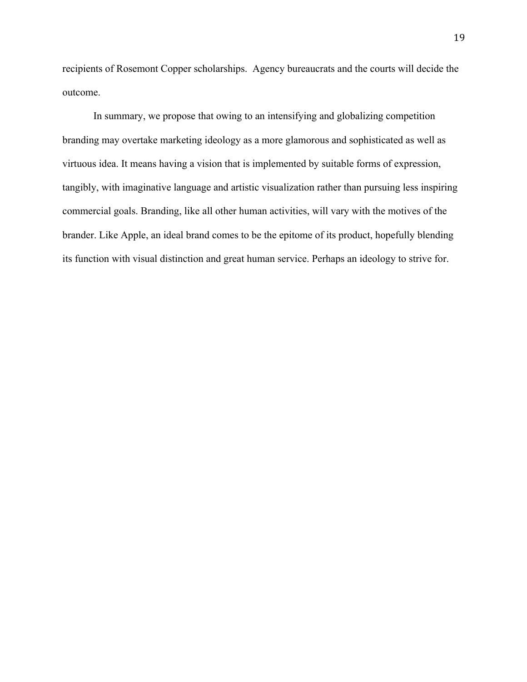recipients of Rosemont Copper scholarships. Agency bureaucrats and the courts will decide the outcome.

In summary, we propose that owing to an intensifying and globalizing competition branding may overtake marketing ideology as a more glamorous and sophisticated as well as virtuous idea. It means having a vision that is implemented by suitable forms of expression, tangibly, with imaginative language and artistic visualization rather than pursuing less inspiring commercial goals. Branding, like all other human activities, will vary with the motives of the brander. Like Apple, an ideal brand comes to be the epitome of its product, hopefully blending its function with visual distinction and great human service. Perhaps an ideology to strive for.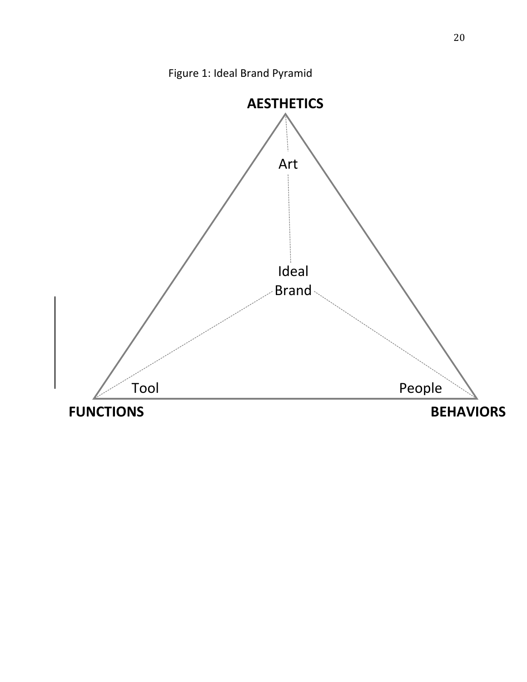Figure 1: Ideal Brand Pyramid

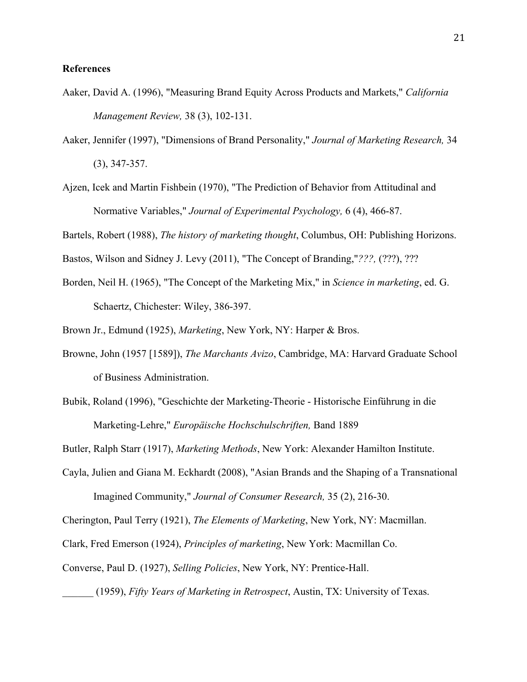# **References**

- Aaker, David A. (1996), "Measuring Brand Equity Across Products and Markets," *California Management Review,* 38 (3), 102-131.
- Aaker, Jennifer (1997), "Dimensions of Brand Personality," *Journal of Marketing Research,* 34 (3), 347-357.
- Ajzen, Icek and Martin Fishbein (1970), "The Prediction of Behavior from Attitudinal and Normative Variables," *Journal of Experimental Psychology,* 6 (4), 466-87.

Bartels, Robert (1988), *The history of marketing thought*, Columbus, OH: Publishing Horizons.

- Bastos, Wilson and Sidney J. Levy (2011), "The Concept of Branding,"*???,* (???), ???
- Borden, Neil H. (1965), "The Concept of the Marketing Mix," in *Science in marketing*, ed. G. Schaertz, Chichester: Wiley, 386-397.
- Brown Jr., Edmund (1925), *Marketing*, New York, NY: Harper & Bros.
- Browne, John (1957 [1589]), *The Marchants Avizo*, Cambridge, MA: Harvard Graduate School of Business Administration.
- Bubik, Roland (1996), "Geschichte der Marketing-Theorie Historische Einführung in die Marketing-Lehre," *Europäische Hochschulschriften,* Band 1889

Butler, Ralph Starr (1917), *Marketing Methods*, New York: Alexander Hamilton Institute.

Cayla, Julien and Giana M. Eckhardt (2008), "Asian Brands and the Shaping of a Transnational Imagined Community," *Journal of Consumer Research,* 35 (2), 216-30.

Cherington, Paul Terry (1921), *The Elements of Marketing*, New York, NY: Macmillan.

- Clark, Fred Emerson (1924), *Principles of marketing*, New York: Macmillan Co.
- Converse, Paul D. (1927), *Selling Policies*, New York, NY: Prentice-Hall.

\_\_\_\_\_\_ (1959), *Fifty Years of Marketing in Retrospect*, Austin, TX: University of Texas.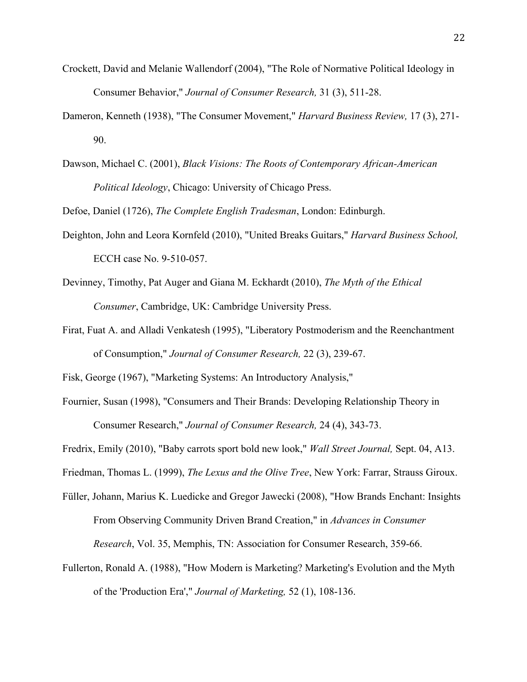- Crockett, David and Melanie Wallendorf (2004), "The Role of Normative Political Ideology in Consumer Behavior," *Journal of Consumer Research,* 31 (3), 511-28.
- Dameron, Kenneth (1938), "The Consumer Movement," *Harvard Business Review,* 17 (3), 271- 90.
- Dawson, Michael C. (2001), *Black Visions: The Roots of Contemporary African-American Political Ideology*, Chicago: University of Chicago Press.

Defoe, Daniel (1726), *The Complete English Tradesman*, London: Edinburgh.

- Deighton, John and Leora Kornfeld (2010), "United Breaks Guitars," *Harvard Business School,* ECCH case No. 9-510-057.
- Devinney, Timothy, Pat Auger and Giana M. Eckhardt (2010), *The Myth of the Ethical Consumer*, Cambridge, UK: Cambridge University Press.
- Firat, Fuat A. and Alladi Venkatesh (1995), "Liberatory Postmoderism and the Reenchantment of Consumption," *Journal of Consumer Research,* 22 (3), 239-67.

Fisk, George (1967), "Marketing Systems: An Introductory Analysis,"

Fournier, Susan (1998), "Consumers and Their Brands: Developing Relationship Theory in Consumer Research," *Journal of Consumer Research,* 24 (4), 343-73.

Fredrix, Emily (2010), "Baby carrots sport bold new look," *Wall Street Journal,* Sept. 04, A13.

Friedman, Thomas L. (1999), *The Lexus and the Olive Tree*, New York: Farrar, Strauss Giroux.

- Füller, Johann, Marius K. Luedicke and Gregor Jawecki (2008), "How Brands Enchant: Insights From Observing Community Driven Brand Creation," in *Advances in Consumer Research*, Vol. 35, Memphis, TN: Association for Consumer Research, 359-66.
- Fullerton, Ronald A. (1988), "How Modern is Marketing? Marketing's Evolution and the Myth of the 'Production Era'," *Journal of Marketing,* 52 (1), 108-136.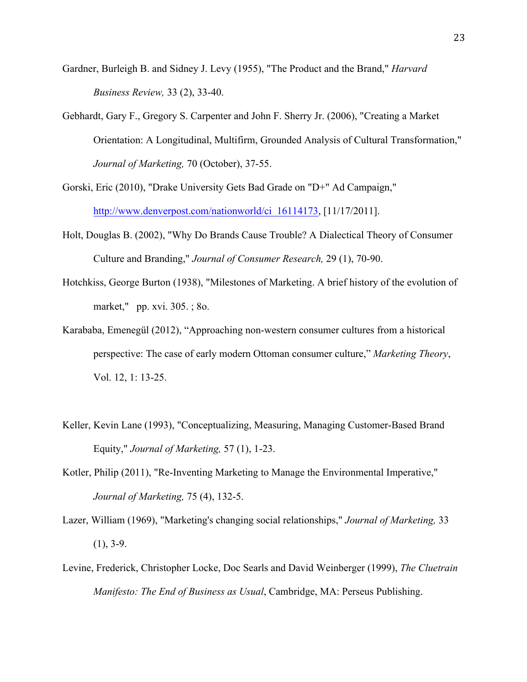- Gardner, Burleigh B. and Sidney J. Levy (1955), "The Product and the Brand," *Harvard Business Review,* 33 (2), 33-40.
- Gebhardt, Gary F., Gregory S. Carpenter and John F. Sherry Jr. (2006), "Creating a Market Orientation: A Longitudinal, Multifirm, Grounded Analysis of Cultural Transformation," *Journal of Marketing,* 70 (October), 37-55.
- Gorski, Eric (2010), "Drake University Gets Bad Grade on "D+" Ad Campaign," http://www.denverpost.com/nationworld/ci\_16114173, [11/17/2011].
- Holt, Douglas B. (2002), "Why Do Brands Cause Trouble? A Dialectical Theory of Consumer Culture and Branding," *Journal of Consumer Research,* 29 (1), 70-90.
- Hotchkiss, George Burton (1938), "Milestones of Marketing. A brief history of the evolution of market," pp. xvi. 305. ; 8o.
- Karababa, Emenegül (2012), "Approaching non-western consumer cultures from a historical perspective: The case of early modern Ottoman consumer culture," *Marketing Theory*, Vol. 12, 1: 13-25.
- Keller, Kevin Lane (1993), "Conceptualizing, Measuring, Managing Customer-Based Brand Equity," *Journal of Marketing,* 57 (1), 1-23.
- Kotler, Philip (2011), "Re-Inventing Marketing to Manage the Environmental Imperative," *Journal of Marketing,* 75 (4), 132-5.
- Lazer, William (1969), "Marketing's changing social relationships," *Journal of Marketing,* 33  $(1), 3-9.$
- Levine, Frederick, Christopher Locke, Doc Searls and David Weinberger (1999), *The Cluetrain Manifesto: The End of Business as Usual*, Cambridge, MA: Perseus Publishing.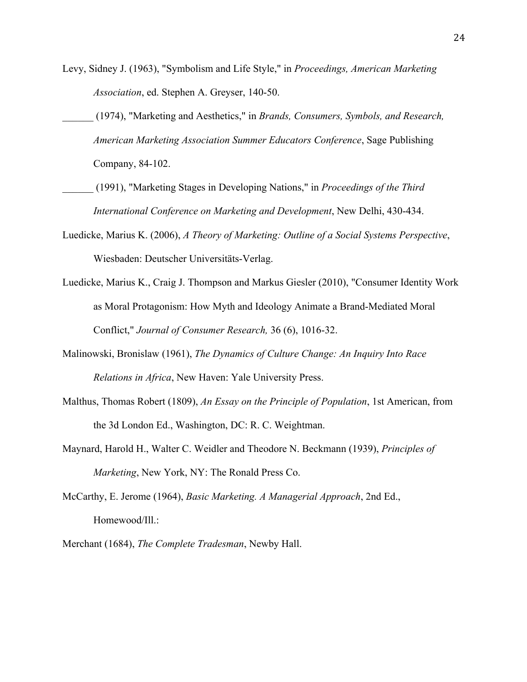- Levy, Sidney J. (1963), "Symbolism and Life Style," in *Proceedings, American Marketing Association*, ed. Stephen A. Greyser, 140-50.
	- \_\_\_\_\_\_ (1974), "Marketing and Aesthetics," in *Brands, Consumers, Symbols, and Research, American Marketing Association Summer Educators Conference*, Sage Publishing Company, 84-102.
- \_\_\_\_\_\_ (1991), "Marketing Stages in Developing Nations," in *Proceedings of the Third International Conference on Marketing and Development*, New Delhi, 430-434.
- Luedicke, Marius K. (2006), *A Theory of Marketing: Outline of a Social Systems Perspective*, Wiesbaden: Deutscher Universitäts-Verlag.
- Luedicke, Marius K., Craig J. Thompson and Markus Giesler (2010), "Consumer Identity Work as Moral Protagonism: How Myth and Ideology Animate a Brand-Mediated Moral Conflict," *Journal of Consumer Research,* 36 (6), 1016-32.
- Malinowski, Bronislaw (1961), *The Dynamics of Culture Change: An Inquiry Into Race Relations in Africa*, New Haven: Yale University Press.
- Malthus, Thomas Robert (1809), *An Essay on the Principle of Population*, 1st American, from the 3d London Ed., Washington, DC: R. C. Weightman.
- Maynard, Harold H., Walter C. Weidler and Theodore N. Beckmann (1939), *Principles of Marketing*, New York, NY: The Ronald Press Co.
- McCarthy, E. Jerome (1964), *Basic Marketing. A Managerial Approach*, 2nd Ed., Homewood/Ill.:
- Merchant (1684), *The Complete Tradesman*, Newby Hall.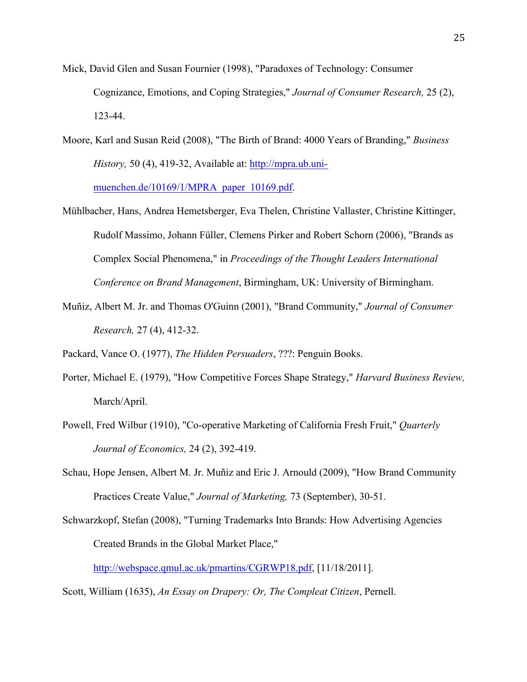- Mick, David Glen and Susan Fournier (1998), "Paradoxes of Technology: Consumer Cognizance, Emotions, and Coping Strategies," *Journal of Consumer Research,* 25 (2), 123-44.
- Moore, Karl and Susan Reid (2008), "The Birth of Brand: 4000 Years of Branding," *Business History,* 50 (4), 419-32, Available at: http://mpra.ub.unimuenchen.de/10169/1/MPRA\_paper\_10169.pdf.
- Mühlbacher, Hans, Andrea Hemetsberger, Eva Thelen, Christine Vallaster, Christine Kittinger, Rudolf Massimo, Johann Füller, Clemens Pirker and Robert Schorn (2006), "Brands as Complex Social Phenomena," in *Proceedings of the Thought Leaders International Conference on Brand Management*, Birmingham, UK: University of Birmingham.
- Muñiz, Albert M. Jr. and Thomas O'Guinn (2001), "Brand Community," *Journal of Consumer Research,* 27 (4), 412-32.

Packard, Vance O. (1977), *The Hidden Persuaders*, ???: Penguin Books.

- Porter, Michael E. (1979), "How Competitive Forces Shape Strategy," *Harvard Business Review,* March/April.
- Powell, Fred Wilbur (1910), "Co-operative Marketing of California Fresh Fruit," *Quarterly Journal of Economics,* 24 (2), 392-419.
- Schau, Hope Jensen, Albert M. Jr. Muñiz and Eric J. Arnould (2009), "How Brand Community Practices Create Value," *Journal of Marketing,* 73 (September), 30-51.
- Schwarzkopf, Stefan (2008), "Turning Trademarks Into Brands: How Advertising Agencies Created Brands in the Global Market Place,"

http://webspace.qmul.ac.uk/pmartins/CGRWP18.pdf, [11/18/2011].

Scott, William (1635), *An Essay on Drapery: Or, The Compleat Citizen*, Pernell.